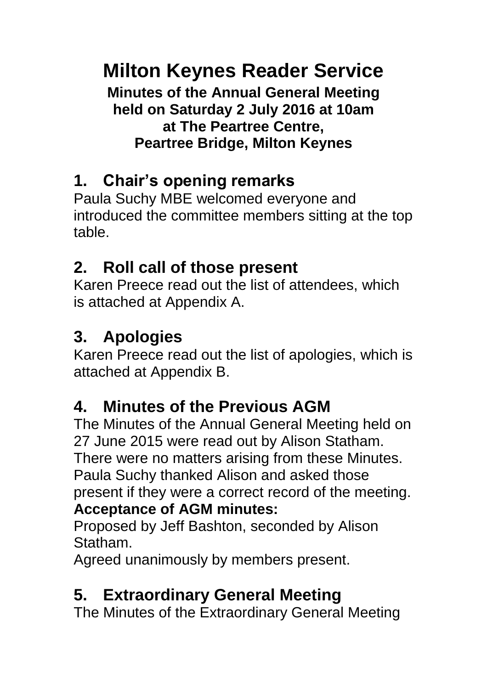**Milton Keynes Reader Service**

**Minutes of the Annual General Meeting held on Saturday 2 July 2016 at 10am at The Peartree Centre, Peartree Bridge, Milton Keynes**

## **1. Chair's opening remarks**

Paula Suchy MBE welcomed everyone and introduced the committee members sitting at the top table.

## **2. Roll call of those present**

Karen Preece read out the list of attendees, which is attached at Appendix A.

# **3. Apologies**

Karen Preece read out the list of apologies, which is attached at Appendix B.

# **4. Minutes of the Previous AGM**

The Minutes of the Annual General Meeting held on 27 June 2015 were read out by Alison Statham. There were no matters arising from these Minutes. Paula Suchy thanked Alison and asked those present if they were a correct record of the meeting. **Acceptance of AGM minutes:**

Proposed by Jeff Bashton, seconded by Alison Statham.

Agreed unanimously by members present.

# **5. Extraordinary General Meeting**

The Minutes of the Extraordinary General Meeting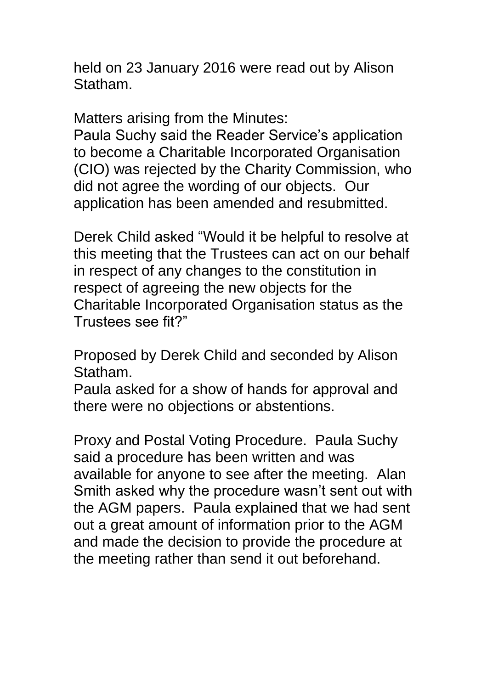held on 23 January 2016 were read out by Alison Statham.

Matters arising from the Minutes:

Paula Suchy said the Reader Service's application to become a Charitable Incorporated Organisation (CIO) was rejected by the Charity Commission, who did not agree the wording of our objects. Our application has been amended and resubmitted.

Derek Child asked "Would it be helpful to resolve at this meeting that the Trustees can act on our behalf in respect of any changes to the constitution in respect of agreeing the new objects for the Charitable Incorporated Organisation status as the Trustees see fit?"

Proposed by Derek Child and seconded by Alison Statham.

Paula asked for a show of hands for approval and there were no objections or abstentions.

Proxy and Postal Voting Procedure. Paula Suchy said a procedure has been written and was available for anyone to see after the meeting. Alan Smith asked why the procedure wasn't sent out with the AGM papers. Paula explained that we had sent out a great amount of information prior to the AGM and made the decision to provide the procedure at the meeting rather than send it out beforehand.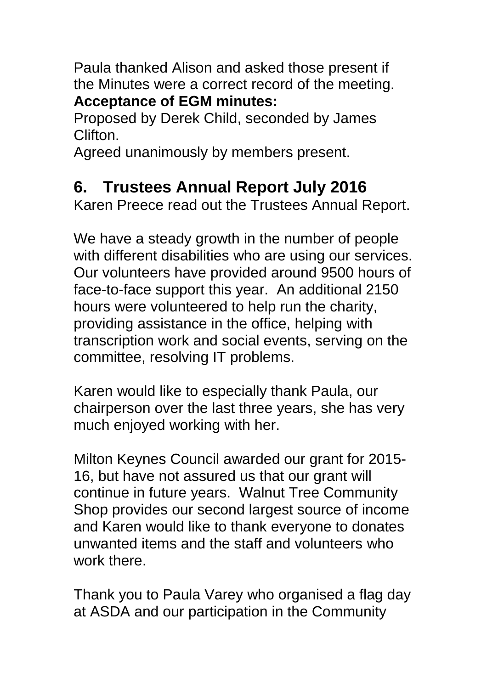Paula thanked Alison and asked those present if the Minutes were a correct record of the meeting. **Acceptance of EGM minutes:** 

Proposed by Derek Child, seconded by James Clifton.

Agreed unanimously by members present.

### **6. Trustees Annual Report July 2016**

Karen Preece read out the Trustees Annual Report.

We have a steady growth in the number of people with different disabilities who are using our services. Our volunteers have provided around 9500 hours of face-to-face support this year. An additional 2150 hours were volunteered to help run the charity, providing assistance in the office, helping with transcription work and social events, serving on the committee, resolving IT problems.

Karen would like to especially thank Paula, our chairperson over the last three years, she has very much enjoyed working with her.

Milton Keynes Council awarded our grant for 2015- 16, but have not assured us that our grant will continue in future years. Walnut Tree Community Shop provides our second largest source of income and Karen would like to thank everyone to donates unwanted items and the staff and volunteers who work there.

Thank you to Paula Varey who organised a flag day at ASDA and our participation in the Community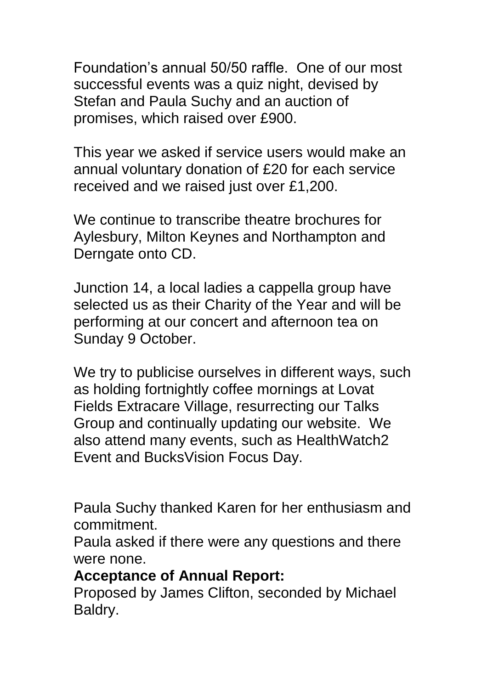Foundation's annual 50/50 raffle. One of our most successful events was a quiz night, devised by Stefan and Paula Suchy and an auction of promises, which raised over £900.

This year we asked if service users would make an annual voluntary donation of £20 for each service received and we raised just over £1,200.

We continue to transcribe theatre brochures for Aylesbury, Milton Keynes and Northampton and Derngate onto CD.

Junction 14, a local ladies a cappella group have selected us as their Charity of the Year and will be performing at our concert and afternoon tea on Sunday 9 October.

We try to publicise ourselves in different ways, such as holding fortnightly coffee mornings at Lovat Fields Extracare Village, resurrecting our Talks Group and continually updating our website. We also attend many events, such as HealthWatch2 Event and BucksVision Focus Day.

Paula Suchy thanked Karen for her enthusiasm and commitment.

Paula asked if there were any questions and there were none.

#### **Acceptance of Annual Report:**

Proposed by James Clifton, seconded by Michael Baldry.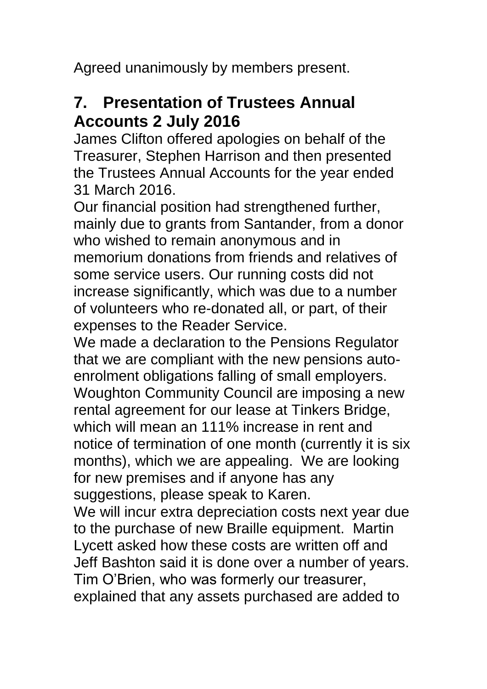Agreed unanimously by members present.

### **7. Presentation of Trustees Annual Accounts 2 July 2016**

James Clifton offered apologies on behalf of the Treasurer, Stephen Harrison and then presented the Trustees Annual Accounts for the year ended 31 March 2016.

Our financial position had strengthened further, mainly due to grants from Santander, from a donor who wished to remain anonymous and in memorium donations from friends and relatives of some service users. Our running costs did not increase significantly, which was due to a number of volunteers who re-donated all, or part, of their expenses to the Reader Service.

We made a declaration to the Pensions Regulator that we are compliant with the new pensions autoenrolment obligations falling of small employers. Woughton Community Council are imposing a new rental agreement for our lease at Tinkers Bridge, which will mean an 111% increase in rent and notice of termination of one month (currently it is six months), which we are appealing. We are looking for new premises and if anyone has any suggestions, please speak to Karen.

We will incur extra depreciation costs next year due to the purchase of new Braille equipment. Martin Lycett asked how these costs are written off and Jeff Bashton said it is done over a number of years. Tim O'Brien, who was formerly our treasurer, explained that any assets purchased are added to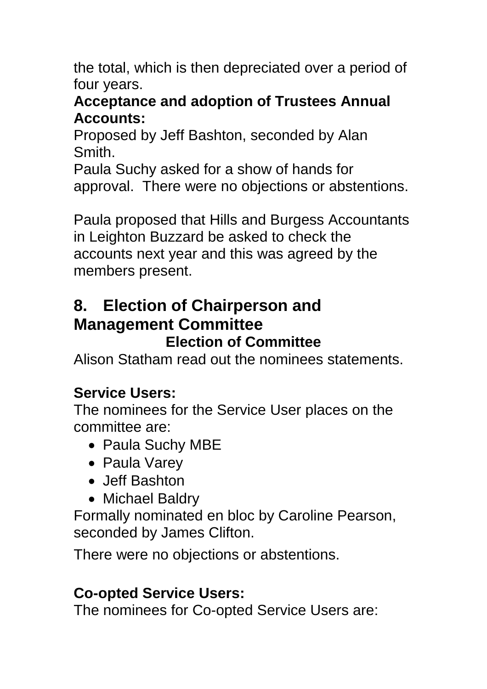the total, which is then depreciated over a period of four years.

#### **Acceptance and adoption of Trustees Annual Accounts:**

Proposed by Jeff Bashton, seconded by Alan Smith.

Paula Suchy asked for a show of hands for approval. There were no objections or abstentions.

Paula proposed that Hills and Burgess Accountants in Leighton Buzzard be asked to check the accounts next year and this was agreed by the members present.

## **8. Election of Chairperson and Management Committee**

#### **Election of Committee**

Alison Statham read out the nominees statements.

### **Service Users:**

The nominees for the Service User places on the committee are:

- Paula Suchy MBE
- Paula Varey
- Jeff Bashton
- Michael Baldry

Formally nominated en bloc by Caroline Pearson, seconded by James Clifton.

There were no objections or abstentions.

#### **Co-opted Service Users:**

The nominees for Co-opted Service Users are: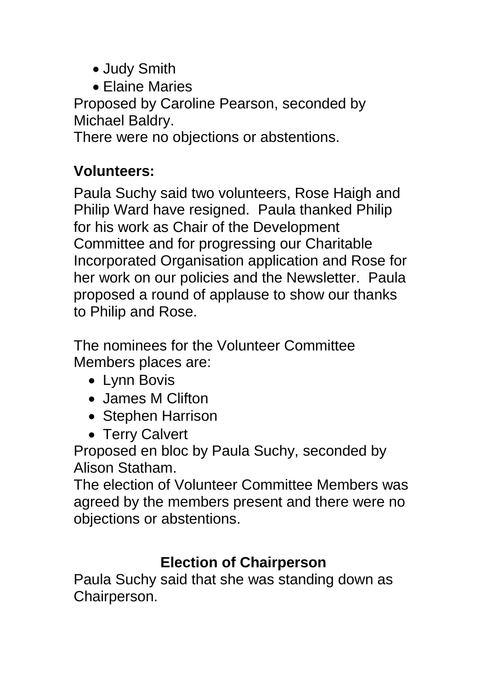- Judy Smith
- Elaine Maries

Proposed by Caroline Pearson, seconded by Michael Baldry.

There were no objections or abstentions.

### **Volunteers:**

Paula Suchy said two volunteers, Rose Haigh and Philip Ward have resigned. Paula thanked Philip for his work as Chair of the Development Committee and for progressing our Charitable Incorporated Organisation application and Rose for her work on our policies and the Newsletter. Paula proposed a round of applause to show our thanks to Philip and Rose.

The nominees for the Volunteer Committee Members places are:

- Lynn Bovis
- James M Clifton
- Stephen Harrison
- Terry Calvert

Proposed en bloc by Paula Suchy, seconded by Alison Statham.

The election of Volunteer Committee Members was agreed by the members present and there were no objections or abstentions.

### **Election of Chairperson**

Paula Suchy said that she was standing down as Chairperson.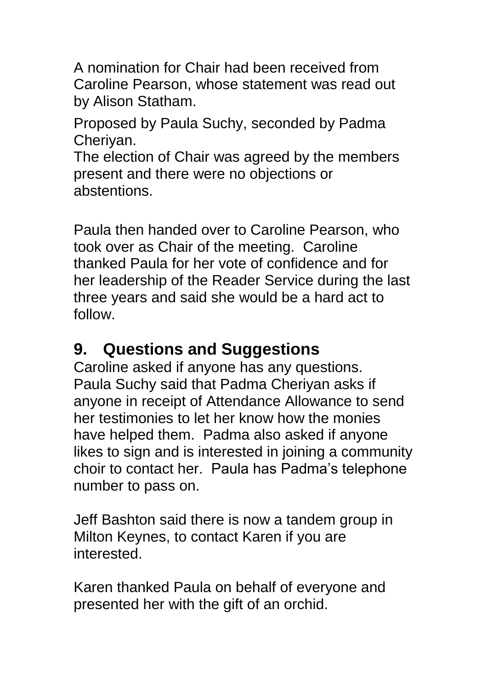A nomination for Chair had been received from Caroline Pearson, whose statement was read out by Alison Statham.

Proposed by Paula Suchy, seconded by Padma Cheriyan.

The election of Chair was agreed by the members present and there were no objections or abstentions.

Paula then handed over to Caroline Pearson, who took over as Chair of the meeting. Caroline thanked Paula for her vote of confidence and for her leadership of the Reader Service during the last three years and said she would be a hard act to follow.

### **9. Questions and Suggestions**

Caroline asked if anyone has any questions. Paula Suchy said that Padma Cheriyan asks if anyone in receipt of Attendance Allowance to send her testimonies to let her know how the monies have helped them. Padma also asked if anyone likes to sign and is interested in joining a community choir to contact her. Paula has Padma's telephone number to pass on.

Jeff Bashton said there is now a tandem group in Milton Keynes, to contact Karen if you are interested.

Karen thanked Paula on behalf of everyone and presented her with the gift of an orchid.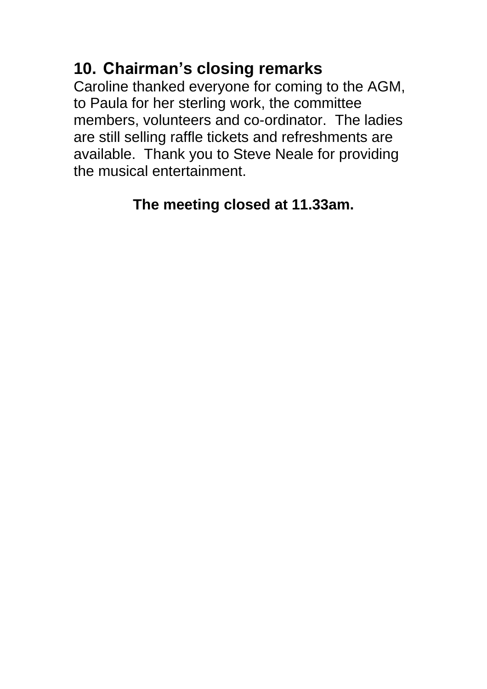### **10. Chairman's closing remarks**

Caroline thanked everyone for coming to the AGM, to Paula for her sterling work, the committee members, volunteers and co-ordinator. The ladies are still selling raffle tickets and refreshments are available. Thank you to Steve Neale for providing the musical entertainment.

### **The meeting closed at 11.33am.**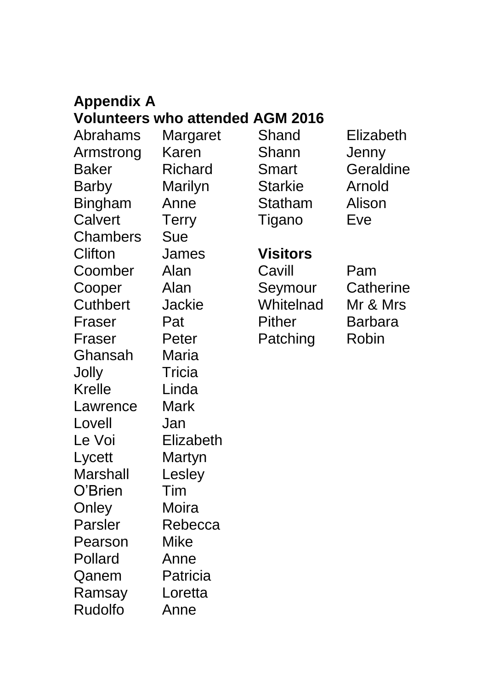# **Appendix A**

#### **Volunteers who attended AGM 2016**

Abrahams Margaret Armstrong Karen Baker Richard Barby Marilyn Bingham Anne Calvert Terry Chambers Sue Clifton James Coomber Alan Cooper Alan Cuthbert Jackie Fraser Pat Fraser Peter Ghansah Maria Jolly Tricia Krelle Linda Lawrence Mark Lovell Jan Le Voi **Elizabeth** Lycett Martyn Marshall Lesley O'Brien Tim Onley Moira Parsler Rebecca Pearson Mike Pollard Anne Qanem Patricia Ramsay Loretta Rudolfo Anne

Shand Elizabeth Shann Jenny Starkie Arnold Statham Alison Tigano Eve

Smart Geraldine

**Visitors**

Cavill Pam Seymour Catherine Whitelnad Mr & Mrs Pither Barbara Patching Robin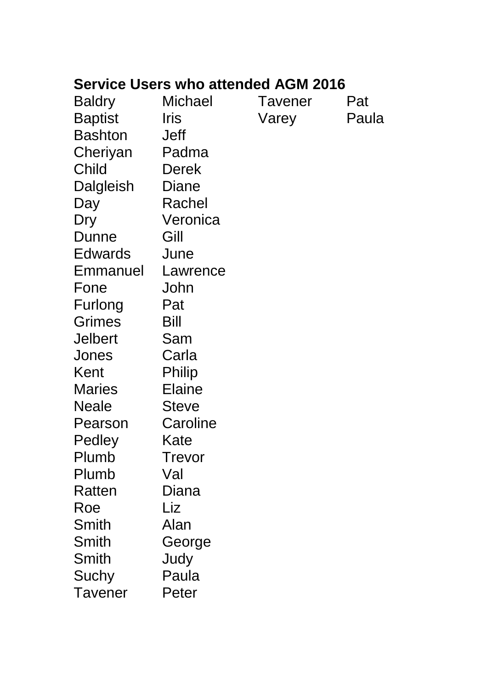#### **Service Users who attended AGM 2016**

| <b>Baldry</b>  | <b>Michael</b> | Tavener | Pat   |
|----------------|----------------|---------|-------|
| <b>Baptist</b> | Iris           | Varey   | Paula |
| <b>Bashton</b> | <b>Jeff</b>    |         |       |
| Cheriyan       | Padma          |         |       |
| Child          | <b>Derek</b>   |         |       |
| Dalgleish      | Diane          |         |       |
| Day            | Rachel         |         |       |
| Dry            | Veronica       |         |       |
| <b>Dunne</b>   | Gill           |         |       |
| Edwards        | June           |         |       |
| Emmanuel       | Lawrence       |         |       |
| Fone           | John           |         |       |
| Furlong        | Pat            |         |       |
| Grimes         | Bill           |         |       |
| <b>Jelbert</b> | Sam            |         |       |
| Jones          | Carla          |         |       |
| Kent           | Philip         |         |       |
| <b>Maries</b>  | <b>Elaine</b>  |         |       |
| <b>Neale</b>   | <b>Steve</b>   |         |       |
| Pearson        | Caroline       |         |       |
| Pedley         | Kate           |         |       |
| Plumb          | Trevor         |         |       |
| Plumb          | Val            |         |       |
| Ratten         | Diana          |         |       |
| Roe            | Liz            |         |       |
| Smith          | Alan           |         |       |
| Smith          | George         |         |       |
| Smith          | Judy           |         |       |
| Suchy          | Paula          |         |       |
| Tavener        | Peter          |         |       |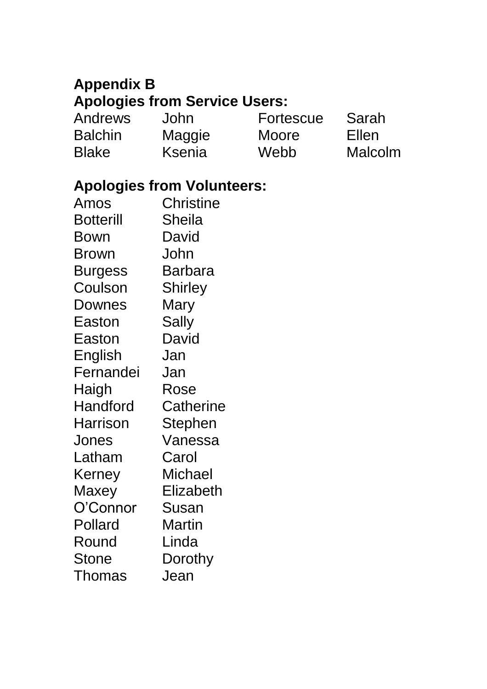#### **Appendix B Apologies from Service Users:**

Andrews John<br>Balchin Mago Balchin Maggie<br>Blake Ksenia

Ksenia

Fortescue Sarah<br>Moore Ellen Moore

Webb Malcolm

#### **Apologies from Volunteers:**

| Amos             | <b>Christine</b> |
|------------------|------------------|
| <b>Botterill</b> | <b>Sheila</b>    |
| Bown             | David            |
| Brown            | John             |
| <b>Burgess</b>   | Barbara          |
| Coulson          | <b>Shirley</b>   |
| Downes           | Mary             |
| Easton           | Sally            |
| Easton           | David            |
| English          | Jan              |
| Fernandei        | Jan              |
| Haigh            | Rose             |
| Handford         | Catherine        |
| Harrison         | Stephen          |
| Jones            | Vanessa          |
| Latham           | Carol            |
| Kerney           | Michael          |
| Maxey            | Elizabeth        |
| O'Connor         | Susan            |
| Pollard          | Martin           |
| Round            | Linda            |
| <b>Stone</b>     | Dorothy          |
| <b>Thomas</b>    | Jean             |